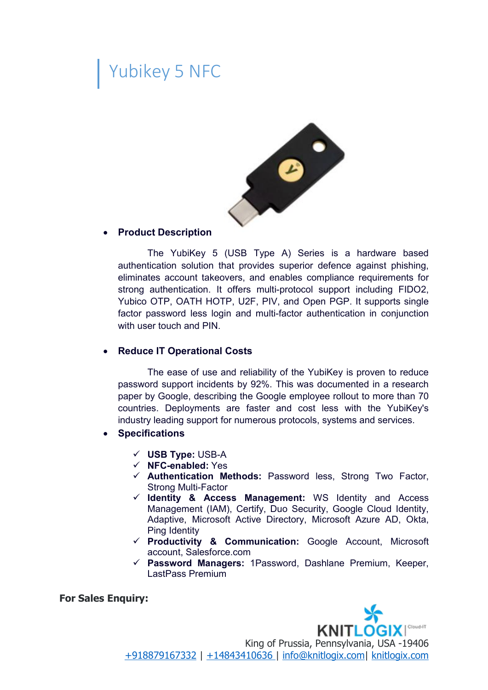## Yubikey 5 NFC



The YubiKey 5 (USB Type A) Series is a hardware based authentication solution that provides superior defence against phishing, eliminates account takeovers, and enables compliance requirements for strong authentication. It offers multi-protocol support including FIDO2, Yubico OTP, OATH HOTP, U2F, PIV, and Open PGP. It supports single factor password less login and multi-factor authentication in conjunction with user touch and PIN.

## **Reduce IT Operational Costs**

The ease of use and reliability of the YubiKey is proven to reduce password support incidents by 92%. This was documented in a research paper by Google, describing the Google employee rollout to more than 70 countries. Deployments are faster and cost less with the YubiKey's industry leading support for numerous protocols, systems and services.

- **Specifications**
	- **USB Type:** USB-A
	- **NFC-enabled:** Yes
	- **Authentication Methods:** Password less, Strong Two Factor, Strong Multi-Factor
	- **Identity & Access Management:** WS Identity and Access Management (IAM), Certify, Duo Security, Google Cloud Identity, Adaptive, Microsoft Active Directory, Microsoft Azure AD, Okta, Ping Identity
	- **Productivity & Communication:** Google Account, Microsoft account, Salesforce.com
	- **Password Managers:** 1Password, Dashlane Premium, Keeper, LastPass Premium

## **For Sales Enquiry:**



King of Prussia, Pennsylvania, USA -19406 [+918879167332](tel:/+918879167332) | [+14843410636](tel:/+14843410636 ) | [info@knitlogix.com](mailto:/info@knitlogix.com)| [knitlogix.com](https://knitlogix.com/)